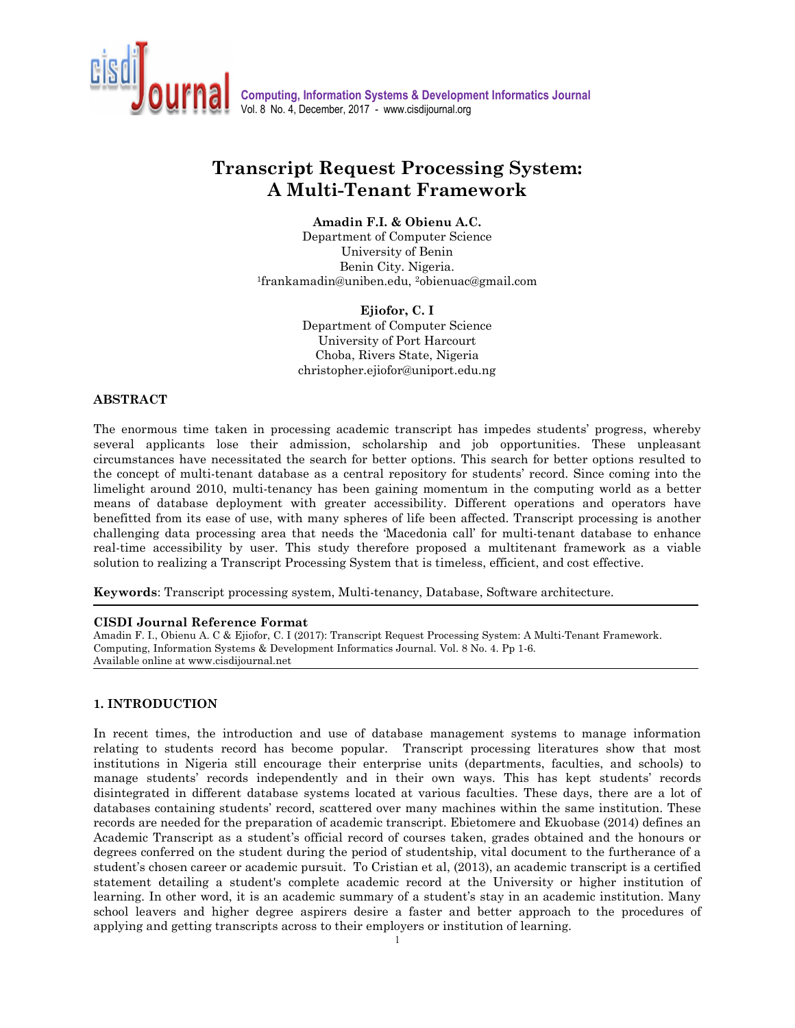

**Computing, Information Systems & Development Informatics Journal**  Vol. 8 No. 4, December, 2017 - www.cisdijournal.org

# **Transcript Request Processing System: A Multi-Tenant Framework**

# **Amadin F.I. & Obienu A.C.**

Department of Computer Science University of Benin Benin City. Nigeria. 1 frankamadin@uniben.edu, 2obienuac@gmail.com

> **Ejiofor, C. I** Department of Computer Science University of Port Harcourt Choba, Rivers State, Nigeria christopher.ejiofor@uniport.edu.ng

#### **ABSTRACT**

The enormous time taken in processing academic transcript has impedes students' progress, whereby several applicants lose their admission, scholarship and job opportunities. These unpleasant circumstances have necessitated the search for better options. This search for better options resulted to the concept of multi-tenant database as a central repository for students' record. Since coming into the limelight around 2010, multi-tenancy has been gaining momentum in the computing world as a better means of database deployment with greater accessibility. Different operations and operators have benefitted from its ease of use, with many spheres of life been affected. Transcript processing is another challenging data processing area that needs the 'Macedonia call' for multi-tenant database to enhance real-time accessibility by user. This study therefore proposed a multitenant framework as a viable solution to realizing a Transcript Processing System that is timeless, efficient, and cost effective.

**Keywords**: Transcript processing system, Multi-tenancy, Database, Software architecture.

#### **CISDI Journal Reference Format**

Amadin F. I., Obienu A. C & Ejiofor, C. I (2017): Transcript Request Processing System: A Multi-Tenant Framework. Computing, Information Systems & Development Informatics Journal. Vol. 8 No. 4. Pp 1-6. Available online at www.cisdijournal.net

#### **1. INTRODUCTION**

 $\frac{1}{1}$ In recent times, the introduction and use of database management systems to manage information relating to students record has become popular. Transcript processing literatures show that most institutions in Nigeria still encourage their enterprise units (departments, faculties, and schools) to manage students' records independently and in their own ways. This has kept students' records disintegrated in different database systems located at various faculties. These days, there are a lot of databases containing students' record, scattered over many machines within the same institution. These records are needed for the preparation of academic transcript. Ebietomere and Ekuobase (2014) defines an Academic Transcript as a student's official record of courses taken, grades obtained and the honours or degrees conferred on the student during the period of studentship, vital document to the furtherance of a student's chosen career or academic pursuit. To Cristian et al, (2013), an academic transcript is a certified statement detailing a student's complete academic record at the University or higher institution of learning. In other word, it is an academic summary of a student's stay in an academic institution. Many school leavers and higher degree aspirers desire a faster and better approach to the procedures of applying and getting transcripts across to their employers or institution of learning.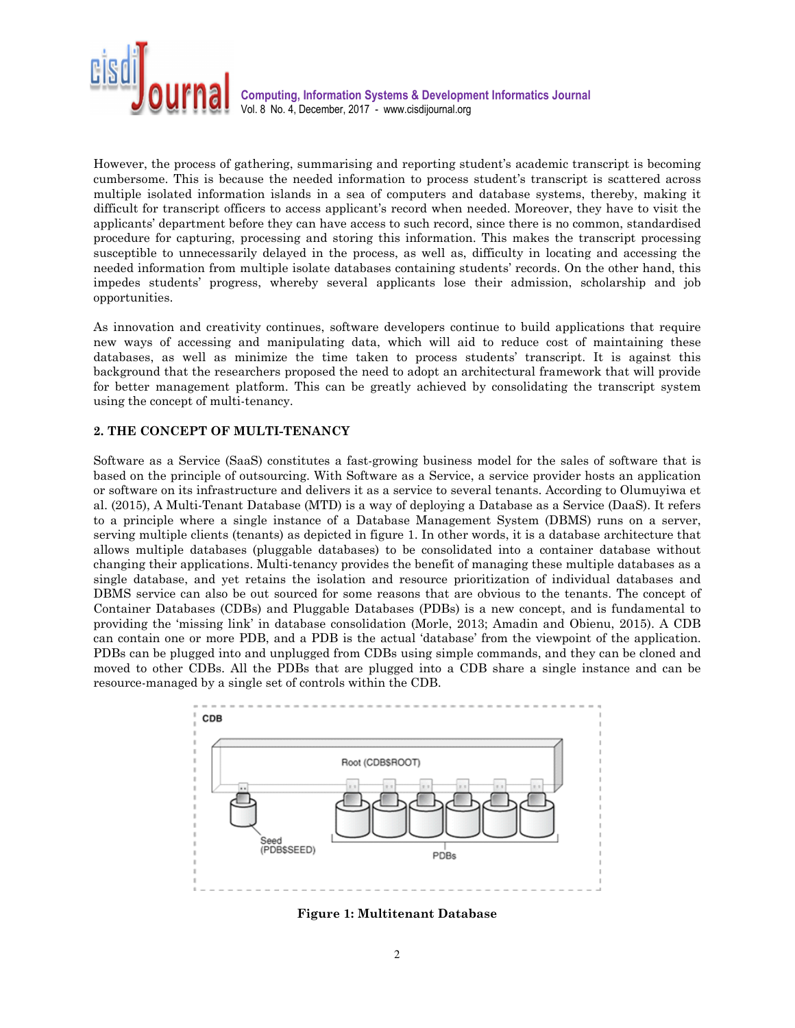

**Computing, Information Systems & Development Informatics Journal**  Vol. 8 No. 4, December, 2017 - www.cisdijournal.org

However, the process of gathering, summarising and reporting student's academic transcript is becoming cumbersome. This is because the needed information to process student's transcript is scattered across multiple isolated information islands in a sea of computers and database systems, thereby, making it difficult for transcript officers to access applicant's record when needed. Moreover, they have to visit the applicants' department before they can have access to such record, since there is no common, standardised procedure for capturing, processing and storing this information. This makes the transcript processing susceptible to unnecessarily delayed in the process, as well as, difficulty in locating and accessing the needed information from multiple isolate databases containing students' records. On the other hand, this impedes students' progress, whereby several applicants lose their admission, scholarship and job opportunities.

As innovation and creativity continues, software developers continue to build applications that require new ways of accessing and manipulating data, which will aid to reduce cost of maintaining these databases, as well as minimize the time taken to process students' transcript. It is against this background that the researchers proposed the need to adopt an architectural framework that will provide for better management platform. This can be greatly achieved by consolidating the transcript system using the concept of multi-tenancy.

## **2. THE CONCEPT OF MULTI-TENANCY**

Software as a Service (SaaS) constitutes a fast-growing business model for the sales of software that is based on the principle of outsourcing. With Software as a Service, a service provider hosts an application or software on its infrastructure and delivers it as a service to several tenants. According to Olumuyiwa et al. (2015), A Multi-Tenant Database (MTD) is a way of deploying a Database as a Service (DaaS). It refers to a principle where a single instance of a Database Management System (DBMS) runs on a server, serving multiple clients (tenants) as depicted in figure 1. In other words, it is a database architecture that allows multiple databases (pluggable databases) to be consolidated into a container database without changing their applications. Multi-tenancy provides the benefit of managing these multiple databases as a single database, and yet retains the isolation and resource prioritization of individual databases and DBMS service can also be out sourced for some reasons that are obvious to the tenants. The concept of Container Databases (CDBs) and Pluggable Databases (PDBs) is a new concept, and is fundamental to providing the 'missing link' in database consolidation (Morle, 2013; Amadin and Obienu, 2015). A CDB can contain one or more PDB, and a PDB is the actual 'database' from the viewpoint of the application. PDBs can be plugged into and unplugged from CDBs using simple commands, and they can be cloned and moved to other CDBs. All the PDBs that are plugged into a CDB share a single instance and can be resource-managed by a single set of controls within the CDB.



**Figure 1: Multitenant Database**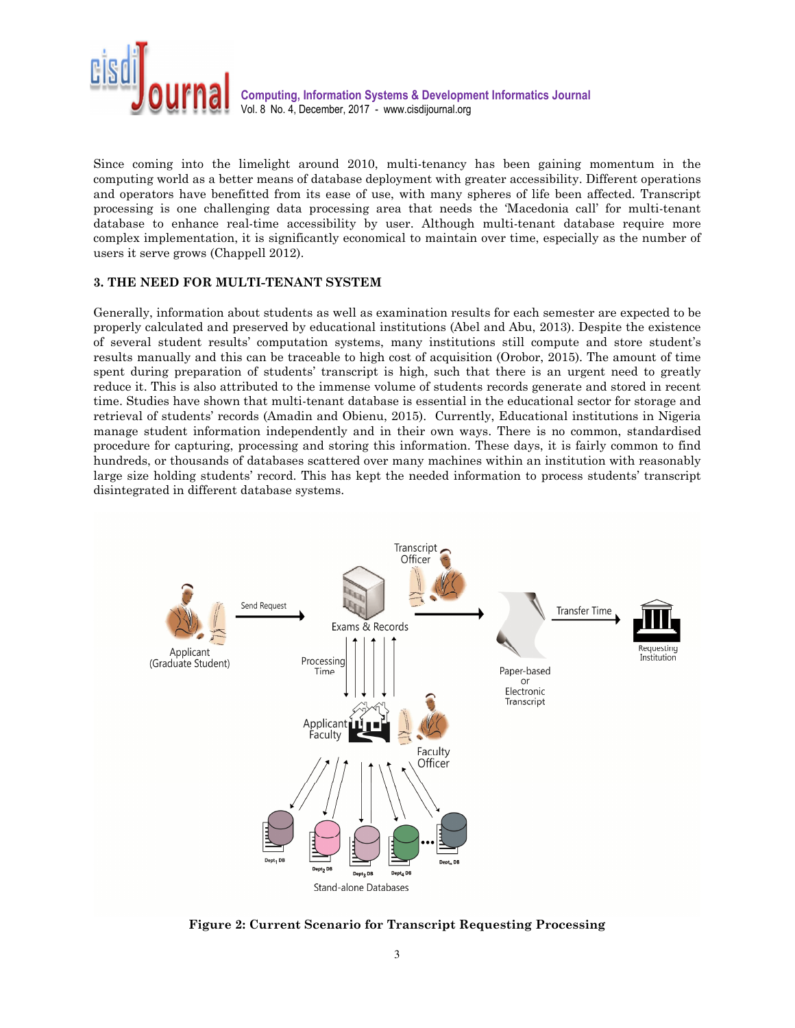

Since coming into the limelight around 2010, multi-tenancy has been gaining momentum in the computing world as a better means of database deployment with greater accessibility. Different operations and operators have benefitted from its ease of use, with many spheres of life been affected. Transcript processing is one challenging data processing area that needs the 'Macedonia call' for multi-tenant database to enhance real-time accessibility by user. Although multi-tenant database require more complex implementation, it is significantly economical to maintain over time, especially as the number of users it serve grows (Chappell 2012).

## **3. THE NEED FOR MULTI-TENANT SYSTEM**

Generally, information about students as well as examination results for each semester are expected to be properly calculated and preserved by educational institutions (Abel and Abu, 2013). Despite the existence of several student results' computation systems, many institutions still compute and store student's results manually and this can be traceable to high cost of acquisition (Orobor, 2015). The amount of time spent during preparation of students' transcript is high, such that there is an urgent need to greatly reduce it. This is also attributed to the immense volume of students records generate and stored in recent time. Studies have shown that multi-tenant database is essential in the educational sector for storage and retrieval of students' records (Amadin and Obienu, 2015). Currently, Educational institutions in Nigeria manage student information independently and in their own ways. There is no common, standardised procedure for capturing, processing and storing this information. These days, it is fairly common to find hundreds, or thousands of databases scattered over many machines within an institution with reasonably large size holding students' record. This has kept the needed information to process students' transcript disintegrated in different database systems.



**Figure 2: Current Scenario for Transcript Requesting Processing**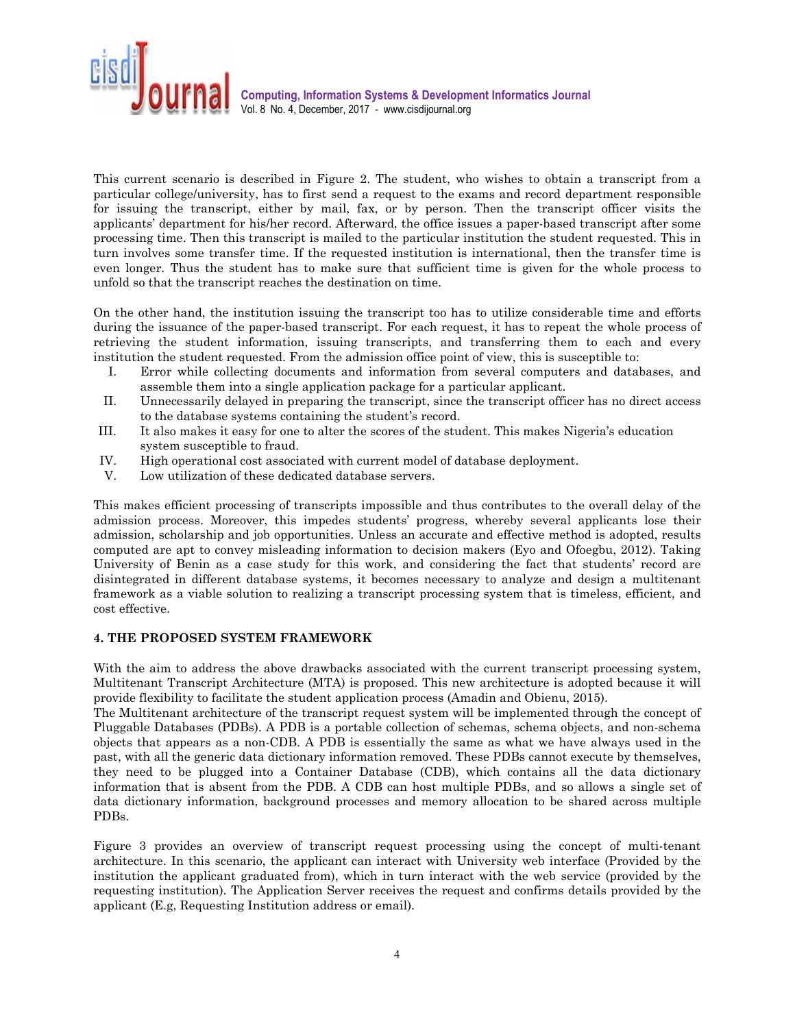

This current scenario is described in Figure 2. The student, who wishes to obtain a transcript from a particular college/university, has to first send a request to the exams and record department responsible for issuing the transcript, either by mail, fax, or by person. Then the transcript officer visits the applicants' department for his/her record. Afterward, the office issues a paper-based transcript after some processing time. Then this transcript is mailed to the particular institution the student requested. This in turn involves some transfer time. If the requested institution is international, then the transfer time is even longer. Thus the student has to make sure that sufficient time is given for the whole process to unfold so that the transcript reaches the destination on time.

On the other hand, the institution issuing the transcript too has to utilize considerable time and efforts during the issuance of the paper-based transcript. For each request, it has to repeat the whole process of retrieving the student information, issuing transcripts, and transferring them to each and every institution the student requested. From the admission office point of view, this is susceptible to:

- I. Error while collecting documents and information from several computers and databases, and assemble them into a single application package for a particular applicant.
- II. Unnecessarily delayed in preparing the transcript, since the transcript officer has no direct access to the database systems containing the student's record.
- III. It also makes it easy for one to alter the scores of the student. This makes Nigeria's education system susceptible to fraud.
- IV. High operational cost associated with current model of database deployment.
- V. Low utilization of these dedicated database servers.

This makes efficient processing of transcripts impossible and thus contributes to the overall delay of the admission process. Moreover, this impedes students' progress, whereby several applicants lose their admission, scholarship and job opportunities. Unless an accurate and effective method is adopted, results computed are apt to convey misleading information to decision makers (Eyo and Ofoegbu, 2012). Taking University of Benin as a case study for this work, and considering the fact that students' record are disintegrated in different database systems, it becomes necessary to analyze and design a multitenant framework as a viable solution to realizing a transcript processing system that is timeless, efficient, and cost effective.

#### **4. THE PROPOSED SYSTEM FRAMEWORK**

With the aim to address the above drawbacks associated with the current transcript processing system, Multitenant Transcript Architecture (MTA) is proposed. This new architecture is adopted because it will provide flexibility to facilitate the student application process (Amadin and Obienu, 2015).

The Multitenant architecture of the transcript request system will be implemented through the concept of Pluggable Databases (PDBs). A PDB is a portable collection of schemas, schema objects, and non-schema objects that appears as a non-CDB. A PDB is essentially the same as what we have always used in the past, with all the generic data dictionary information removed. These PDBs cannot execute by themselves, they need to be plugged into a Container Database (CDB), which contains all the data dictionary information that is absent from the PDB. A CDB can host multiple PDBs, and so allows a single set of data dictionary information, background processes and memory allocation to be shared across multiple PDBs.

Figure 3 provides an overview of transcript request processing using the concept of multi-tenant architecture. In this scenario, the applicant can interact with University web interface (Provided by the institution the applicant graduated from), which in turn interact with the web service (provided by the requesting institution). The Application Server receives the request and confirms details provided by the applicant (E.g, Requesting Institution address or email).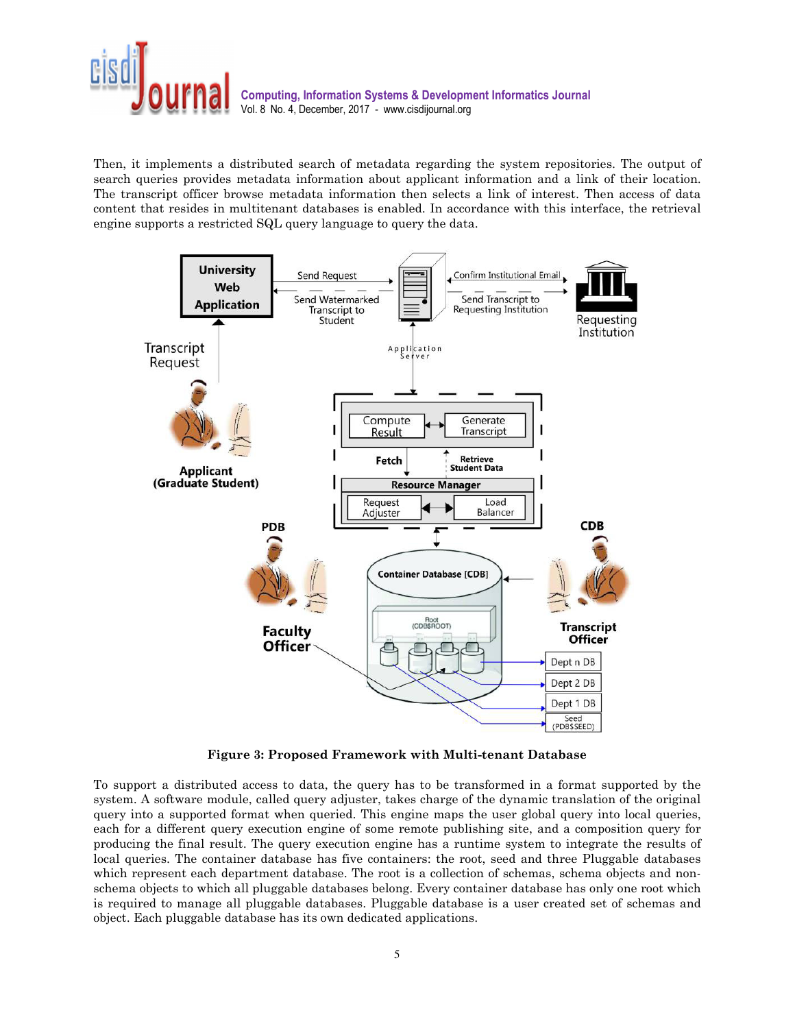

Then, it implements a distributed search of metadata regarding the system repositories. The output of search queries provides metadata information about applicant information and a link of their location. The transcript officer browse metadata information then selects a link of interest. Then access of data content that resides in multitenant databases is enabled. In accordance with this interface, the retrieval engine supports a restricted SQL query language to query the data.



**Figure 3: Proposed Framework with Multi-tenant Database** 

To support a distributed access to data, the query has to be transformed in a format supported by the system. A software module, called query adjuster, takes charge of the dynamic translation of the original query into a supported format when queried. This engine maps the user global query into local queries, each for a different query execution engine of some remote publishing site, and a composition query for producing the final result. The query execution engine has a runtime system to integrate the results of local queries. The container database has five containers: the root, seed and three Pluggable databases which represent each department database. The root is a collection of schemas, schema objects and nonschema objects to which all pluggable databases belong. Every container database has only one root which is required to manage all pluggable databases. Pluggable database is a user created set of schemas and object. Each pluggable database has its own dedicated applications.